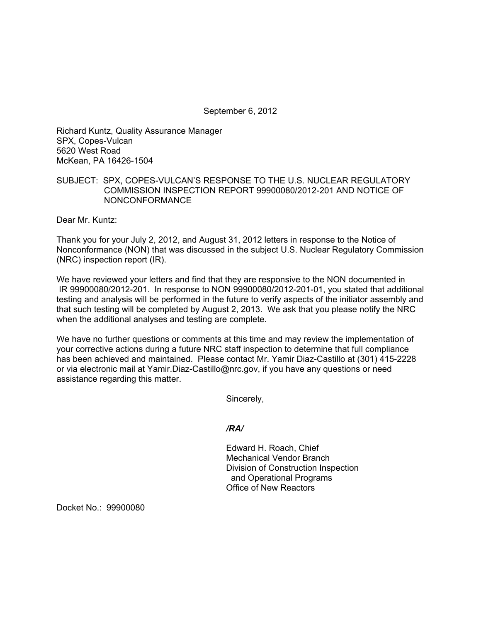September 6, 2012

Richard Kuntz, Quality Assurance Manager SPX, Copes-Vulcan 5620 West Road McKean, PA 16426-1504

## SUBJECT: SPX, COPES-VULCAN'S RESPONSE TO THE U.S. NUCLEAR REGULATORY COMMISSION INSPECTION REPORT 99900080/2012-201 AND NOTICE OF NONCONFORMANCE

Dear Mr. Kuntz:

Thank you for your July 2, 2012, and August 31, 2012 letters in response to the Notice of Nonconformance (NON) that was discussed in the subject U.S. Nuclear Regulatory Commission (NRC) inspection report (IR).

We have reviewed your letters and find that they are responsive to the NON documented in IR 99900080/2012-201. In response to NON 99900080/2012-201-01, you stated that additional testing and analysis will be performed in the future to verify aspects of the initiator assembly and that such testing will be completed by August 2, 2013. We ask that you please notify the NRC when the additional analyses and testing are complete.

We have no further questions or comments at this time and may review the implementation of your corrective actions during a future NRC staff inspection to determine that full compliance has been achieved and maintained. Please contact Mr. Yamir Diaz-Castillo at (301) 415-2228 or via electronic mail at Yamir.Diaz-Castillo@nrc.gov, if you have any questions or need assistance regarding this matter.

Sincerely,

*/RA/* 

Edward H. Roach, Chief Mechanical Vendor Branch Division of Construction Inspection and Operational Programs Office of New Reactors

Docket No.: 99900080